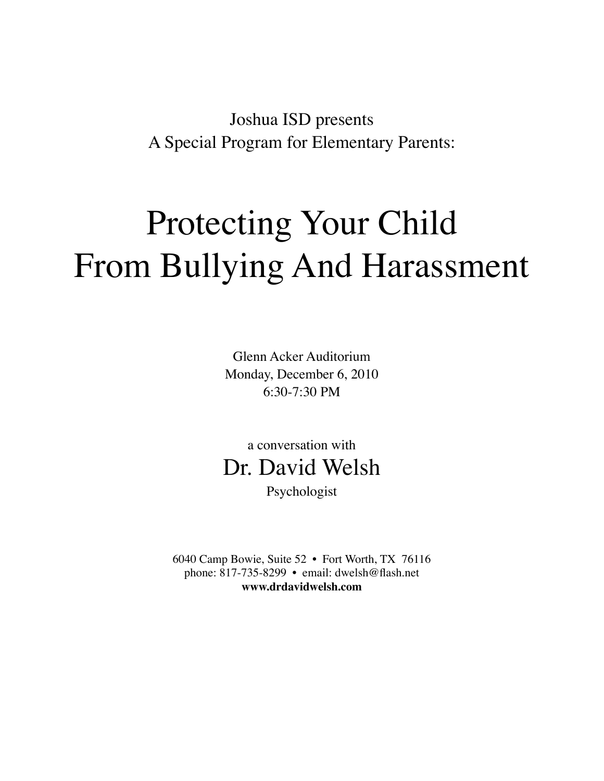Joshua ISD presents A Special Program for Elementary Parents:

## Protecting Your Child From Bullying And Harassment

Glenn Acker Auditorium Monday, December 6, 2010 6:30-7:30 PM

a conversation with Dr. David Welsh

Psychologist

6040 Camp Bowie, Suite 52 • Fort Worth, TX 76116 phone: 817-735-8299 • email: dwelsh@flash.net **www.drdavidwelsh.com**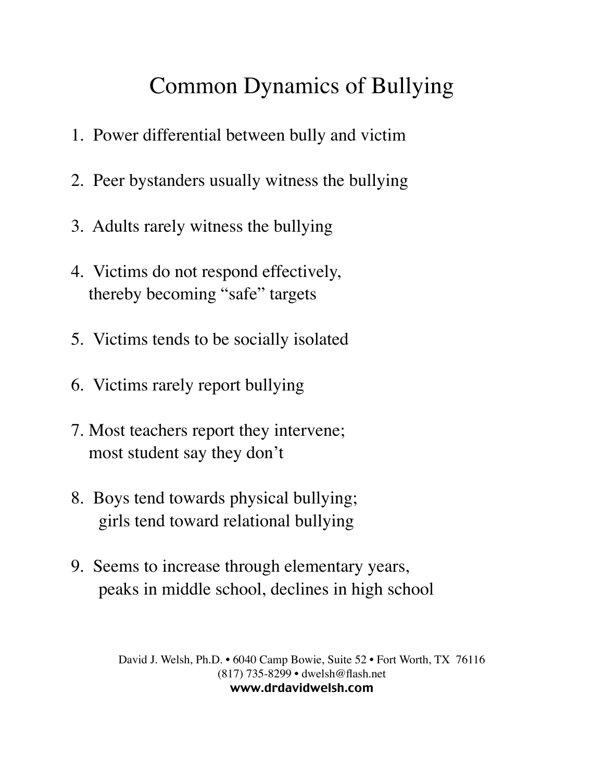## Common Dynamics of Bullying

- 1. Power differential between bully and victim
- 2. Peer bystanders usually witness the bullying
- 3. Adults rarely witness the bullying
- 4. Victims do not respond effectively, thereby becoming "safe" targets
- 5. Victims tends to be socially isolated
- 6. Victims rarely report bullying
- 7. Most teachers report they intervene; most student say they don't
- 8. Boys tend towards physical bullying; girls tend toward relational bullying
- 9. Seems to increase through elementary years, peaks in middle school, declines in high school

David J. Welsh, Ph.D. • 6040 Camp Bowie, Suite 52 • Fort Worth, TX 76116 (817) 735-8299 • dwelsh@flash.net www.drdavidwelsh.com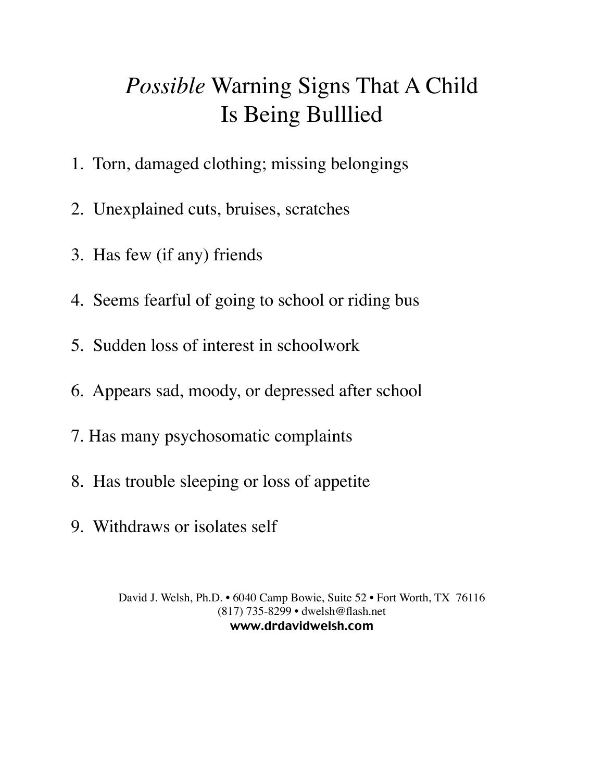## *Possible* Warning Signs That A Child Is Being Bulllied

- 1. Torn, damaged clothing; missing belongings
- 2. Unexplained cuts, bruises, scratches
- 3. Has few (if any) friends
- 4. Seems fearful of going to school or riding bus
- 5. Sudden loss of interest in schoolwork
- 6. Appears sad, moody, or depressed after school
- 7. Has many psychosomatic complaints
- 8. Has trouble sleeping or loss of appetite
- 9. Withdraws or isolates self

David J. Welsh, Ph.D. • 6040 Camp Bowie, Suite 52 • Fort Worth, TX 76116 (817) 735-8299 • dwelsh@flash.net www.drdavidwelsh.com